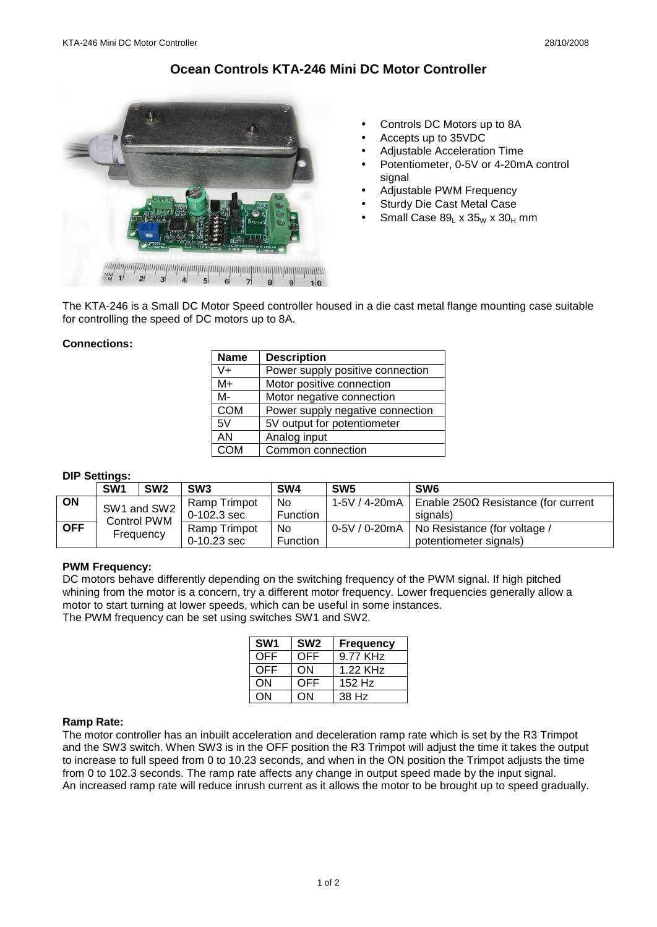# **Ocean Controls KTA-246 Mini DC Motor Controller**



- Controls DC Motors up to 8A
- Accepts up to 35VDC
- Adjustable Acceleration Time
- Potentiometer, 0-5V or 4-20mA control signal
- Adjustable PWM Frequency
- Sturdy Die Cast Metal Case
- Small Case  $89_L \times 35_W \times 30_H$  mm

The KTA-246 is a Small DC Motor Speed controller housed in a die cast metal flange mounting case suitable for controlling the speed of DC motors up to 8A.

## **Connections:**

| <b>Name</b> | <b>Description</b>               |  |  |  |
|-------------|----------------------------------|--|--|--|
| $V +$       | Power supply positive connection |  |  |  |
| M+          | Motor positive connection        |  |  |  |
| M-          | Motor negative connection        |  |  |  |
| <b>COM</b>  | Power supply negative connection |  |  |  |
| 5V          | 5V output for potentiometer      |  |  |  |
| AN          | Analog input                     |  |  |  |
| COM         | Common connection                |  |  |  |

## **DIP Settings:**

|            | SW <sub>1</sub>                                | SW <sub>2</sub> | SW <sub>3</sub> | SW4             | SW <sub>5</sub> | SW <sub>6</sub>                              |
|------------|------------------------------------------------|-----------------|-----------------|-----------------|-----------------|----------------------------------------------|
| ON         | SW1 and SW2<br><b>Control PWM</b><br>Frequency |                 | Ramp Trimpot    | N <sub>0</sub>  | 1-5V / 4-20mA   | Enable 250Ω Resistance (for current          |
|            |                                                |                 | $0-102.3$ sec   | <b>Function</b> |                 | signals)                                     |
| <b>OFF</b> |                                                |                 | Ramp Trimpot    | N <sub>0</sub>  |                 | 0-5V / 0-20mA   No Resistance (for voltage / |
|            |                                                |                 | $0-10.23$ sec   | Function        |                 | potentiometer signals)                       |

#### **PWM Frequency:**

DC motors behave differently depending on the switching frequency of the PWM signal. If high pitched whining from the motor is a concern, try a different motor frequency. Lower frequencies generally allow a motor to start turning at lower speeds, which can be useful in some instances. The PWM frequency can be set using switches SW1 and SW2.

| SW <sub>1</sub> | SW <sub>2</sub> | <b>Frequency</b>     |
|-----------------|-----------------|----------------------|
| <b>OFF</b>      | <b>OFF</b>      | 9.77 KH <sub>7</sub> |
| <b>OFF</b>      | ON              | 1.22 KH <sub>7</sub> |
| ON              | <b>OFF</b>      | 152 Hz               |
| ON              | ΩN              | 38 Hz                |

#### **Ramp Rate:**

The motor controller has an inbuilt acceleration and deceleration ramp rate which is set by the R3 Trimpot and the SW3 switch. When SW3 is in the OFF position the R3 Trimpot will adjust the time it takes the output to increase to full speed from 0 to 10.23 seconds, and when in the ON position the Trimpot adjusts the time from 0 to 102.3 seconds. The ramp rate affects any change in output speed made by the input signal. An increased ramp rate will reduce inrush current as it allows the motor to be brought up to speed gradually.